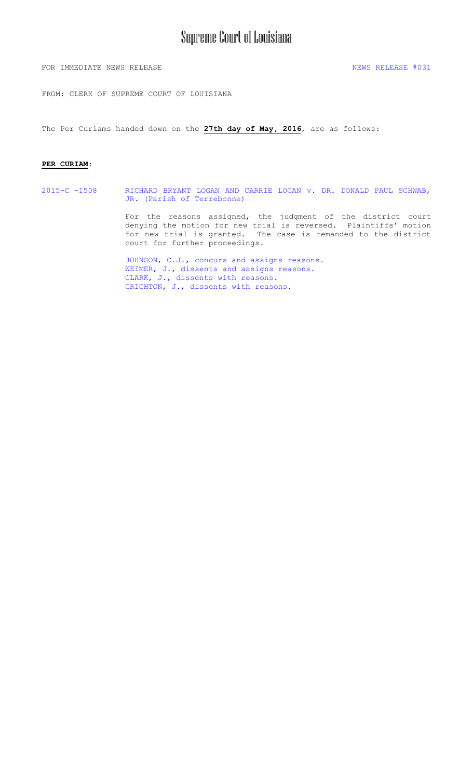### Supreme Court of Louisiana

FOR IMMEDIATE NEWS RELEASE NEWS RELEASE  $\#031$ 

FROM: CLERK OF SUPREME COURT OF LOUISIANA

The Per Curiams handed down on the **27th day of May, 2016**, are as follows:

#### **PER CURIAM**:

2015-C -1508 [RICHARD BRYANT LOGAN AND CARRIE LOGAN v. DR. DONALD PAUL SCHWAB,](#page-1-0)  JR. (Parish of Terrebonne)

> For the reasons assigned, the judgment of the district court denying the motion for new trial is reversed. Plaintiffs' motion for new trial is granted. The case is remanded to the district court for further proceedings.

[JOHNSON, C.J., concurs and assigns reasons.](#page-2-0)  WEIMER, J., dissents and assigns reasons. [CLARK, J., dissents with reasons.](#page-10-0)  [CRICHTON, J., dissents with reasons.](#page-11-0)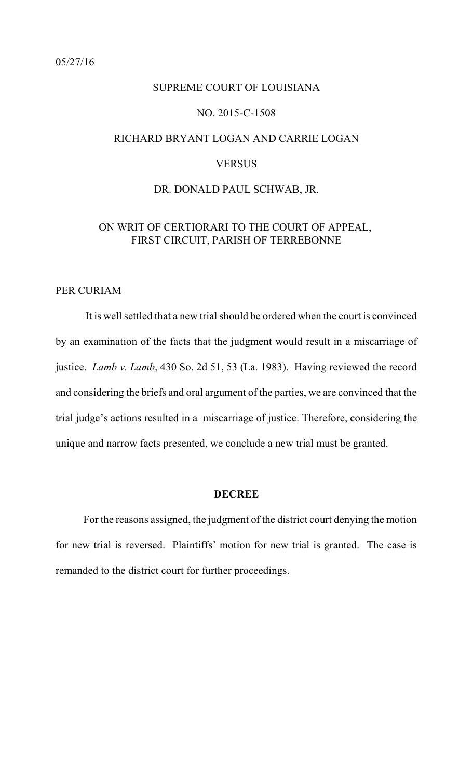## <span id="page-1-0"></span>SUPREME COURT OF LOUISIANA NO. 2015-C-1508 RICHARD BRYANT LOGAN AND CARRIE LOGAN VERSUS

### DR. DONALD PAUL SCHWAB, JR.

### ON WRIT OF CERTIORARI TO THE COURT OF APPEAL, FIRST CIRCUIT, PARISH OF TERREBONNE

### PER CURIAM

It is well settled that a new trial should be ordered when the court is convinced by an examination of the facts that the judgment would result in a miscarriage of justice. *Lamb v. Lamb*, 430 So. 2d 51, 53 (La. 1983). Having reviewed the record and considering the briefs and oral argument of the parties, we are convinced that the trial judge's actions resulted in a miscarriage of justice. Therefore, considering the unique and narrow facts presented, we conclude a new trial must be granted.

### **DECREE**

For the reasons assigned, the judgment of the district court denying the motion for new trial is reversed. Plaintiffs' motion for new trial is granted. The case is remanded to the district court for further proceedings.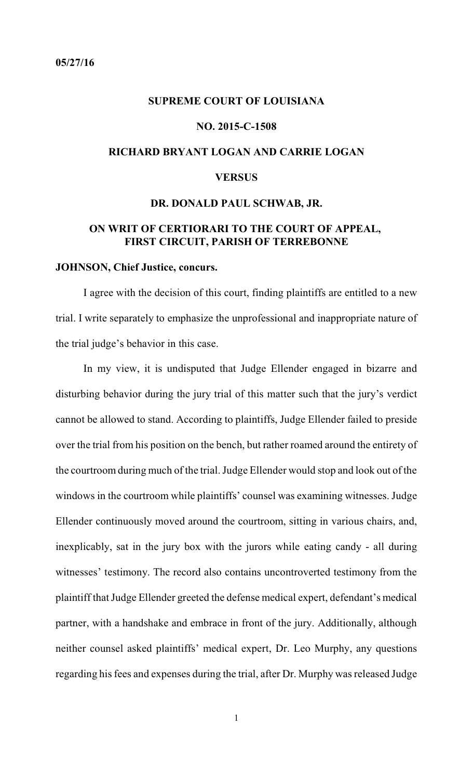### <span id="page-2-0"></span>**SUPREME COURT OF LOUISIANA**

### **NO. 2015-C-1508**

### **RICHARD BRYANT LOGAN AND CARRIE LOGAN**

### **VERSUS**

### **DR. DONALD PAUL SCHWAB, JR.**

### **ON WRIT OF CERTIORARI TO THE COURT OF APPEAL, FIRST CIRCUIT, PARISH OF TERREBONNE**

### **JOHNSON, Chief Justice, concurs.**

I agree with the decision of this court, finding plaintiffs are entitled to a new trial. I write separately to emphasize the unprofessional and inappropriate nature of the trial judge's behavior in this case.

In my view, it is undisputed that Judge Ellender engaged in bizarre and disturbing behavior during the jury trial of this matter such that the jury's verdict cannot be allowed to stand. According to plaintiffs, Judge Ellender failed to preside over the trial from his position on the bench, but rather roamed around the entirety of the courtroom during much of the trial. Judge Ellender would stop and look out of the windows in the courtroom while plaintiffs' counsel was examining witnesses. Judge Ellender continuously moved around the courtroom, sitting in various chairs, and, inexplicably, sat in the jury box with the jurors while eating candy - all during witnesses' testimony. The record also contains uncontroverted testimony from the plaintiff that Judge Ellender greeted the defense medical expert, defendant's medical partner, with a handshake and embrace in front of the jury. Additionally, although neither counsel asked plaintiffs' medical expert, Dr. Leo Murphy, any questions regarding his fees and expenses during the trial, after Dr. Murphy wasreleased Judge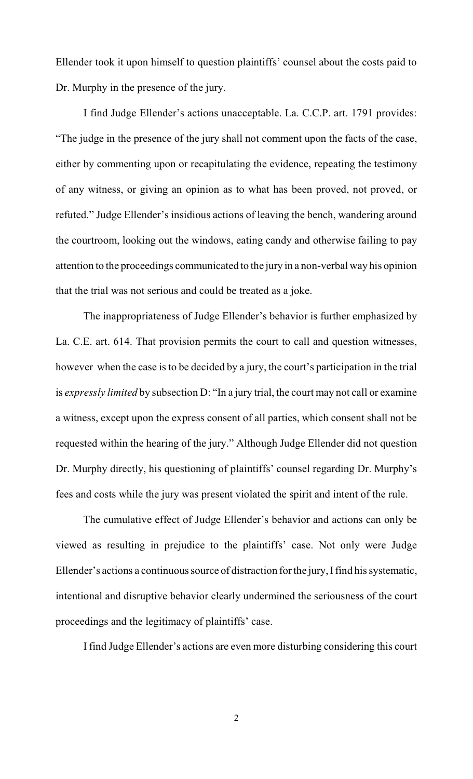Ellender took it upon himself to question plaintiffs' counsel about the costs paid to Dr. Murphy in the presence of the jury.

I find Judge Ellender's actions unacceptable. La. C.C.P. art. 1791 provides: "The judge in the presence of the jury shall not comment upon the facts of the case, either by commenting upon or recapitulating the evidence, repeating the testimony of any witness, or giving an opinion as to what has been proved, not proved, or refuted." Judge Ellender's insidious actions of leaving the bench, wandering around the courtroom, looking out the windows, eating candy and otherwise failing to pay attention to the proceedings communicated to the jury in a non-verbal way his opinion that the trial was not serious and could be treated as a joke.

The inappropriateness of Judge Ellender's behavior is further emphasized by La. C.E. art. 614. That provision permits the court to call and question witnesses, however when the case is to be decided by a jury, the court's participation in the trial is *expressly limited* by subsection D: "In a jury trial, the court may not call or examine a witness, except upon the express consent of all parties, which consent shall not be requested within the hearing of the jury." Although Judge Ellender did not question Dr. Murphy directly, his questioning of plaintiffs' counsel regarding Dr. Murphy's fees and costs while the jury was present violated the spirit and intent of the rule.

The cumulative effect of Judge Ellender's behavior and actions can only be viewed as resulting in prejudice to the plaintiffs' case. Not only were Judge Ellender's actions a continuous source of distraction for the jury, I find his systematic, intentional and disruptive behavior clearly undermined the seriousness of the court proceedings and the legitimacy of plaintiffs' case.

I find Judge Ellender's actions are even more disturbing considering this court

2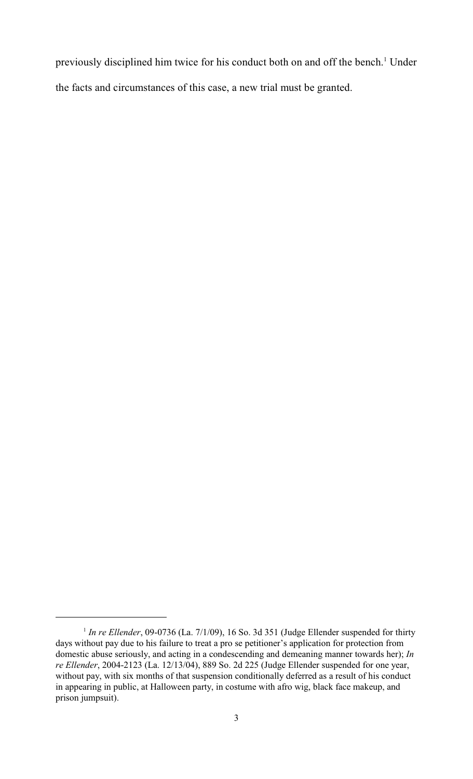previously disciplined him twice for his conduct both on and off the bench.<sup>1</sup> Under the facts and circumstances of this case, a new trial must be granted.

<sup>&</sup>lt;sup>1</sup> In re Ellender, 09-0736 (La.  $7/1/09$ ), 16 So. 3d 351 (Judge Ellender suspended for thirty days without pay due to his failure to treat a pro se petitioner's application for protection from domestic abuse seriously, and acting in a condescending and demeaning manner towards her); *In re Ellender*, 2004-2123 (La. 12/13/04), 889 So. 2d 225 (Judge Ellender suspended for one year, without pay, with six months of that suspension conditionally deferred as a result of his conduct in appearing in public, at Halloween party, in costume with afro wig, black face makeup, and prison jumpsuit).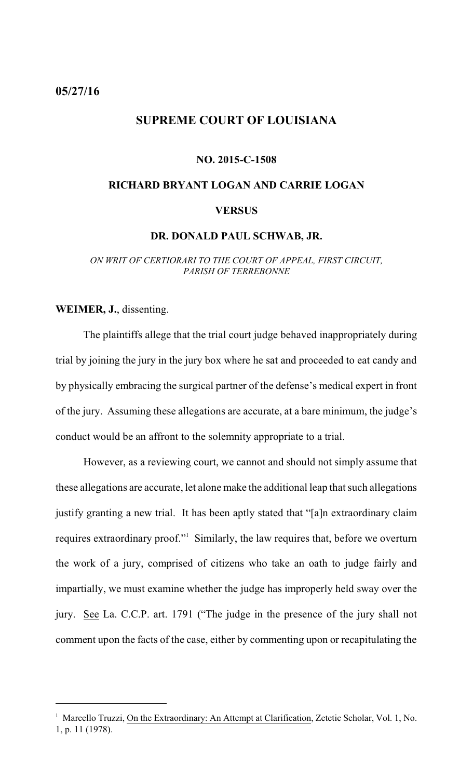### <span id="page-5-0"></span>**05/27/16**

### **SUPREME COURT OF LOUISIANA**

### **NO. 2015-C-1508**

# **RICHARD BRYANT LOGAN AND CARRIE LOGAN VERSUS**

### **DR. DONALD PAUL SCHWAB, JR.**

*ON WRIT OF CERTIORARI TO THE COURT OF APPEAL, FIRST CIRCUIT, PARISH OF TERREBONNE*

**WEIMER, J.**, dissenting.

The plaintiffs allege that the trial court judge behaved inappropriately during trial by joining the jury in the jury box where he sat and proceeded to eat candy and by physically embracing the surgical partner of the defense's medical expert in front of the jury. Assuming these allegations are accurate, at a bare minimum, the judge's conduct would be an affront to the solemnity appropriate to a trial.

However, as a reviewing court, we cannot and should not simply assume that these allegations are accurate, let alone make the additional leap that such allegations justify granting a new trial. It has been aptly stated that "[a]n extraordinary claim requires extraordinary proof." Similarly, the law requires that, before we overturn the work of a jury, comprised of citizens who take an oath to judge fairly and impartially, we must examine whether the judge has improperly held sway over the jury. See La. C.C.P. art. 1791 ("The judge in the presence of the jury shall not comment upon the facts of the case, either by commenting upon or recapitulating the

<sup>&</sup>lt;sup>1</sup> Marcello Truzzi, On the Extraordinary: An Attempt at Clarification, Zetetic Scholar, Vol. 1, No. 1, p. 11 (1978).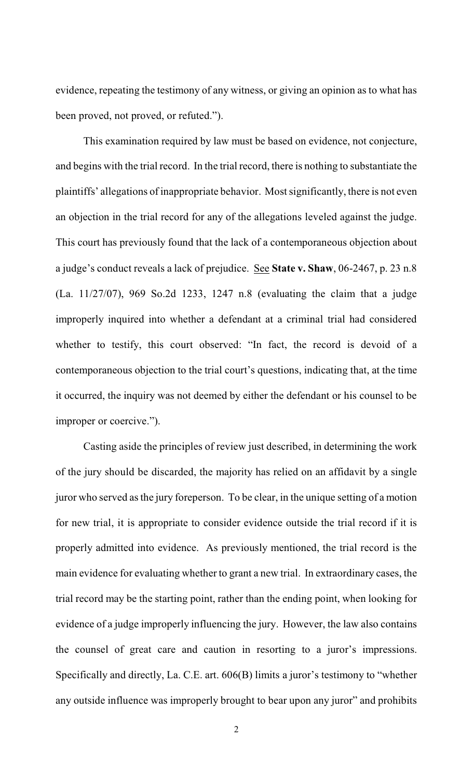evidence, repeating the testimony of any witness, or giving an opinion as to what has been proved, not proved, or refuted.").

This examination required by law must be based on evidence, not conjecture, and begins with the trial record. In the trial record, there is nothing to substantiate the plaintiffs' allegations of inappropriate behavior. Mostsignificantly, there is not even an objection in the trial record for any of the allegations leveled against the judge. This court has previously found that the lack of a contemporaneous objection about a judge's conduct reveals a lack of prejudice. See **State v. Shaw**, 06-2467, p. 23 n.8 (La. 11/27/07), 969 So.2d 1233, 1247 n.8 (evaluating the claim that a judge improperly inquired into whether a defendant at a criminal trial had considered whether to testify, this court observed: "In fact, the record is devoid of a contemporaneous objection to the trial court's questions, indicating that, at the time it occurred, the inquiry was not deemed by either the defendant or his counsel to be improper or coercive.").

Casting aside the principles of review just described, in determining the work of the jury should be discarded, the majority has relied on an affidavit by a single juror who served asthe jury foreperson. To be clear, in the unique setting of a motion for new trial, it is appropriate to consider evidence outside the trial record if it is properly admitted into evidence. As previously mentioned, the trial record is the main evidence for evaluating whether to grant a new trial. In extraordinary cases, the trial record may be the starting point, rather than the ending point, when looking for evidence of a judge improperly influencing the jury. However, the law also contains the counsel of great care and caution in resorting to a juror's impressions. Specifically and directly, La. C.E. art. 606(B) limits a juror's testimony to "whether any outside influence was improperly brought to bear upon any juror" and prohibits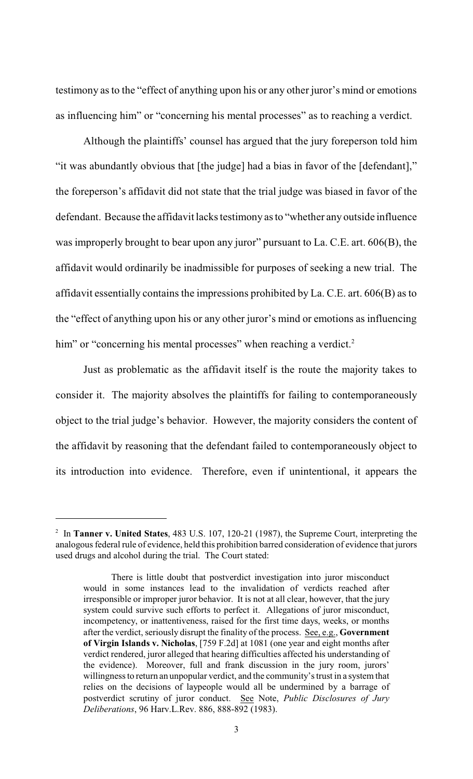testimony asto the "effect of anything upon his or any other juror's mind or emotions as influencing him" or "concerning his mental processes" as to reaching a verdict.

Although the plaintiffs' counsel has argued that the jury foreperson told him "it was abundantly obvious that [the judge] had a bias in favor of the [defendant]," the foreperson's affidavit did not state that the trial judge was biased in favor of the defendant. Because the affidavit lacks testimony asto "whether any outside influence was improperly brought to bear upon any juror" pursuant to La. C.E. art. 606(B), the affidavit would ordinarily be inadmissible for purposes of seeking a new trial. The affidavit essentially contains the impressions prohibited by La. C.E. art. 606(B) as to the "effect of anything upon his or any other juror's mind or emotions as influencing him" or "concerning his mental processes" when reaching a verdict.<sup>2</sup>

Just as problematic as the affidavit itself is the route the majority takes to consider it. The majority absolves the plaintiffs for failing to contemporaneously object to the trial judge's behavior. However, the majority considers the content of the affidavit by reasoning that the defendant failed to contemporaneously object to its introduction into evidence. Therefore, even if unintentional, it appears the

<sup>&</sup>lt;sup>2</sup> In **Tanner v. United States**, 483 U.S. 107, 120-21 (1987), the Supreme Court, interpreting the analogous federal rule of evidence, held this prohibition barred consideration of evidence that jurors used drugs and alcohol during the trial. The Court stated:

There is little doubt that postverdict investigation into juror misconduct would in some instances lead to the invalidation of verdicts reached after irresponsible or improper juror behavior. It is not at all clear, however, that the jury system could survive such efforts to perfect it. Allegations of juror misconduct, incompetency, or inattentiveness, raised for the first time days, weeks, or months after the verdict, seriously disrupt the finality of the process. See, e.g., **Government of Virgin Islands v. Nicholas**, [759 F.2d] at 1081 (one year and eight months after verdict rendered, juror alleged that hearing difficulties affected his understanding of the evidence). Moreover, full and frank discussion in the jury room, jurors' willingness to return an unpopular verdict, and the community's trust in a system that relies on the decisions of laypeople would all be undermined by a barrage of postverdict scrutiny of juror conduct. See Note, *Public Disclosures of Jury Deliberations*, 96 Harv.L.Rev. 886, 888-892 (1983).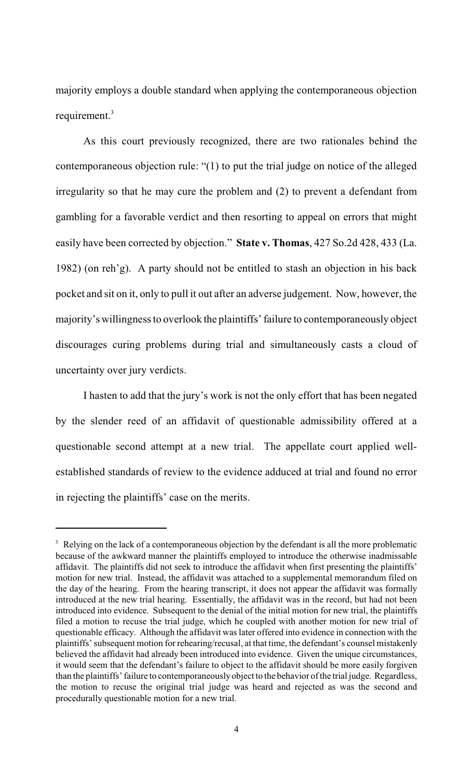majority employs a double standard when applying the contemporaneous objection requirement.<sup>3</sup>

As this court previously recognized, there are two rationales behind the contemporaneous objection rule: "(1) to put the trial judge on notice of the alleged irregularity so that he may cure the problem and (2) to prevent a defendant from gambling for a favorable verdict and then resorting to appeal on errors that might easily have been corrected by objection." **State v. Thomas**, 427 So.2d 428, 433 (La. 1982) (on reh'g). A party should not be entitled to stash an objection in his back pocket and sit on it, only to pull it out after an adverse judgement. Now, however, the majority's willingnessto overlook the plaintiffs' failure to contemporaneously object discourages curing problems during trial and simultaneously casts a cloud of uncertainty over jury verdicts.

I hasten to add that the jury's work is not the only effort that has been negated by the slender reed of an affidavit of questionable admissibility offered at a questionable second attempt at a new trial. The appellate court applied wellestablished standards of review to the evidence adduced at trial and found no error in rejecting the plaintiffs' case on the merits.

<sup>&</sup>lt;sup>3</sup> Relying on the lack of a contemporaneous objection by the defendant is all the more problematic because of the awkward manner the plaintiffs employed to introduce the otherwise inadmissable affidavit. The plaintiffs did not seek to introduce the affidavit when first presenting the plaintiffs' motion for new trial. Instead, the affidavit was attached to a supplemental memorandum filed on the day of the hearing. From the hearing transcript, it does not appear the affidavit was formally introduced at the new trial hearing. Essentially, the affidavit was in the record, but had not been introduced into evidence. Subsequent to the denial of the initial motion for new trial, the plaintiffs filed a motion to recuse the trial judge, which he coupled with another motion for new trial of questionable efficacy. Although the affidavit was later offered into evidence in connection with the plaintiffs' subsequent motion for rehearing/recusal, at that time, the defendant's counsel mistakenly believed the affidavit had already been introduced into evidence. Given the unique circumstances, it would seem that the defendant's failure to object to the affidavit should be more easily forgiven than the plaintiffs' failure to contemporaneouslyobject to the behavior of the trial judge. Regardless, the motion to recuse the original trial judge was heard and rejected as was the second and procedurally questionable motion for a new trial.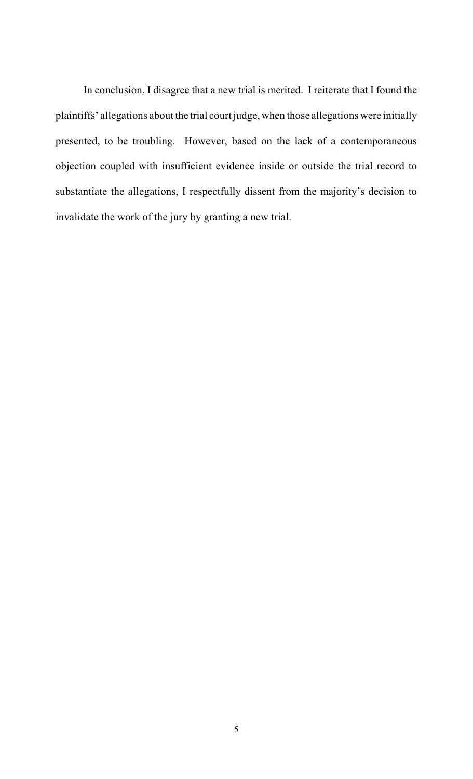In conclusion, I disagree that a new trial is merited. I reiterate that I found the plaintiffs' allegations about the trial court judge, when those allegations were initially presented, to be troubling. However, based on the lack of a contemporaneous objection coupled with insufficient evidence inside or outside the trial record to substantiate the allegations, I respectfully dissent from the majority's decision to invalidate the work of the jury by granting a new trial.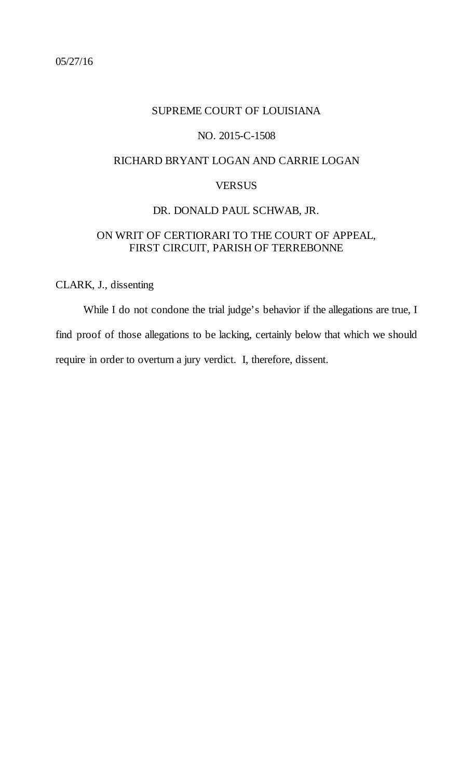### <span id="page-10-0"></span>SUPREME COURT OF LOUISIANA

### NO. 2015-C-1508

### RICHARD BRYANT LOGAN AND CARRIE LOGAN

### **VERSUS**

### DR. DONALD PAUL SCHWAB, JR.

### ON WRIT OF CERTIORARI TO THE COURT OF APPEAL, FIRST CIRCUIT, PARISH OF TERREBONNE

### CLARK, J., dissenting

While I do not condone the trial judge's behavior if the allegations are true, I find proof of those allegations to be lacking, certainly below that which we should require in order to overturn a jury verdict. I, therefore, dissent.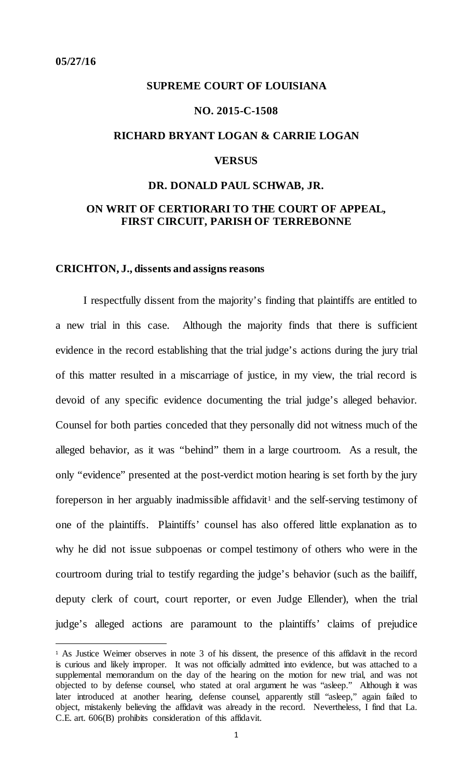### <span id="page-11-0"></span>**SUPREME COURT OF LOUISIANA**

### **NO. 2015-C-1508**

### **RICHARD BRYANT LOGAN & CARRIE LOGAN**

### **VERSUS**

### **DR. DONALD PAUL SCHWAB, JR.**

### **ON WRIT OF CERTIORARI TO THE COURT OF APPEAL, FIRST CIRCUIT, PARISH OF TERREBONNE**

### **CRICHTON, J., dissents and assigns reasons**

I respectfully dissent from the majority's finding that plaintiffs are entitled to a new trial in this case. Although the majority finds that there is sufficient evidence in the record establishing that the trial judge's actions during the jury trial of this matter resulted in a miscarriage of justice, in my view, the trial record is devoid of any specific evidence documenting the trial judge's alleged behavior. Counsel for both parties conceded that they personally did not witness much of the alleged behavior, as it was "behind" them in a large courtroom. As a result, the only "evidence" presented at the post-verdict motion hearing is set forth by the jury foreperson in her arguably inadmissible affidavit<sup>[1](#page-11-1)</sup> and the self-serving testimony of one of the plaintiffs. Plaintiffs' counsel has also offered little explanation as to why he did not issue subpoenas or compel testimony of others who were in the courtroom during trial to testify regarding the judge's behavior (such as the bailiff, deputy clerk of court, court reporter, or even Judge Ellender), when the trial judge's alleged actions are paramount to the plaintiffs' claims of prejudice

<span id="page-11-1"></span><sup>1</sup> As Justice Weimer observes in note 3 of his dissent, the presence of this affidavit in the record is curious and likely improper. It was not officially admitted into evidence, but was attached to a supplemental memorandum on the day of the hearing on the motion for new trial, and was not objected to by defense counsel, who stated at oral argument he was "asleep." Although it was later introduced at another hearing, defense counsel, apparently still "asleep," again failed to object, mistakenly believing the affidavit was already in the record. Nevertheless, I find that La. C.E. art. 606(B) prohibits consideration of this affidavit.